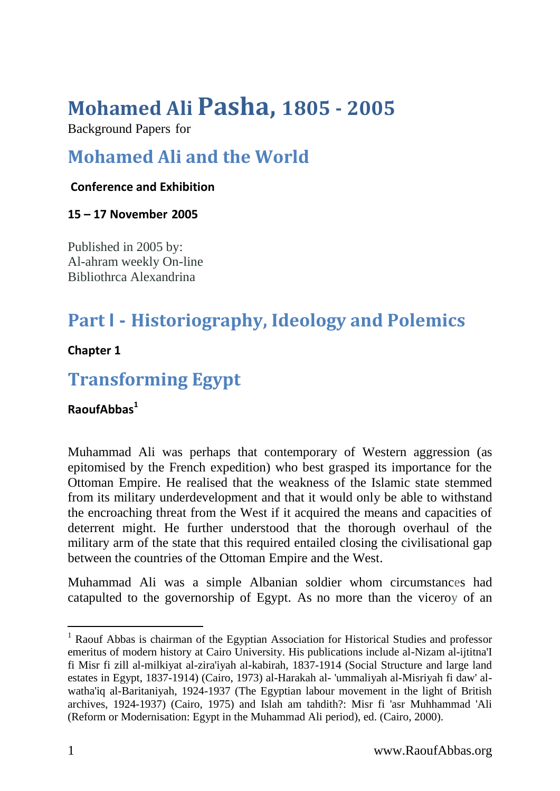# **Mohamed Ali Pasha, 1805 - 2005**

Background Papers for

## **Mohamed Ali and the World**

#### **Conference and Exhibition**

**15 – 17 November 2005**

Published in 2005 by: Al-ahram weekly On-line Bibliothrca Alexandrina

## **Part I - Historiography, Ideology and Polemics**

**Chapter 1**

### **Transforming Egypt**

**RaoufAbbas<sup>1</sup>**

Muhammad Ali was perhaps that contemporary of Western aggression (as epitomised by the French expedition) who best grasped its importance for the Ottoman Empire. He realised that the weakness of the Islamic state stemmed from its military underdevelopment and that it would only be able to withstand the encroaching threat from the West if it acquired the means and capacities of deterrent might. He further understood that the thorough overhaul of the military arm of the state that this required entailed closing the civilisational gap between the countries of the Ottoman Empire and the West.

Muhammad Ali was a simple Albanian soldier whom circumstances had catapulted to the governorship of Egypt. As no more than the viceroy of an

-

<sup>&</sup>lt;sup>1</sup> Raouf Abbas is chairman of the Egyptian Association for Historical Studies and professor emeritus of modern history at Cairo University. His publications include al-Nizam al-ijtitna'I fi Misr fi zill al-milkiyat al-zira'iyah al-kabirah, 1837-1914 (Social Structure and large land estates in Egypt, 1837-1914) (Cairo, 1973) al-Harakah al- 'ummaliyah al-Misriyah fi daw' alwatha'iq al-Baritaniyah, 1924-1937 (The Egyptian labour movement in the light of British archives, 1924-1937) (Cairo, 1975) and Islah am tahdith?: Misr fi 'asr Muhhammad 'Ali (Reform or Modernisation: Egypt in the Muhammad Ali period), ed. (Cairo, 2000).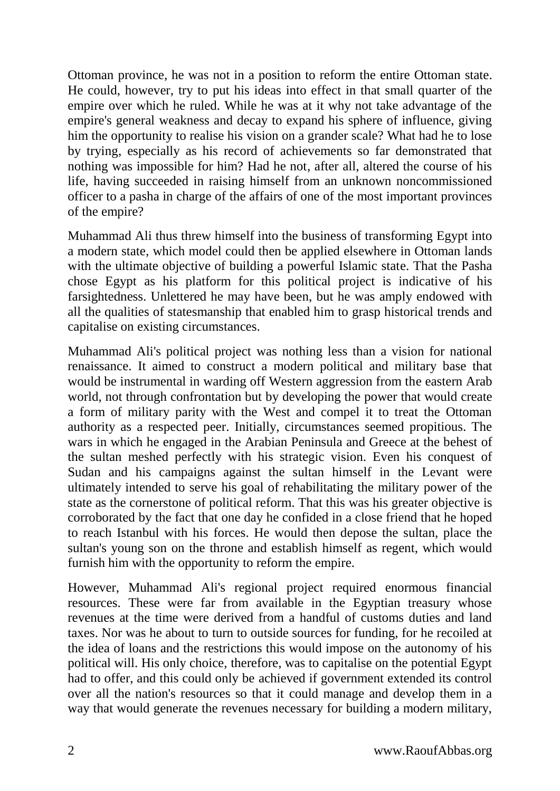Ottoman province, he was not in a position to reform the entire Ottoman state. He could, however, try to put his ideas into effect in that small quarter of the empire over which he ruled. While he was at it why not take advantage of the empire's general weakness and decay to expand his sphere of influence, giving him the opportunity to realise his vision on a grander scale? What had he to lose by trying, especially as his record of achievements so far demonstrated that nothing was impossible for him? Had he not, after all, altered the course of his life, having succeeded in raising himself from an unknown noncommissioned officer to a pasha in charge of the affairs of one of the most important provinces of the empire?

Muhammad Ali thus threw himself into the business of transforming Egypt into a modern state, which model could then be applied elsewhere in Ottoman lands with the ultimate objective of building a powerful Islamic state. That the Pasha chose Egypt as his platform for this political project is indicative of his farsightedness. Unlettered he may have been, but he was amply endowed with all the qualities of statesmanship that enabled him to grasp historical trends and capitalise on existing circumstances.

Muhammad Ali's political project was nothing less than a vision for national renaissance. It aimed to construct a modern political and military base that would be instrumental in warding off Western aggression from the eastern Arab world, not through confrontation but by developing the power that would create a form of military parity with the West and compel it to treat the Ottoman authority as a respected peer. Initially, circumstances seemed propitious. The wars in which he engaged in the Arabian Peninsula and Greece at the behest of the sultan meshed perfectly with his strategic vision. Even his conquest of Sudan and his campaigns against the sultan himself in the Levant were ultimately intended to serve his goal of rehabilitating the military power of the state as the cornerstone of political reform. That this was his greater objective is corroborated by the fact that one day he confided in a close friend that he hoped to reach Istanbul with his forces. He would then depose the sultan, place the sultan's young son on the throne and establish himself as regent, which would furnish him with the opportunity to reform the empire.

However, Muhammad Ali's regional project required enormous financial resources. These were far from available in the Egyptian treasury whose revenues at the time were derived from a handful of customs duties and land taxes. Nor was he about to turn to outside sources for funding, for he recoiled at the idea of loans and the restrictions this would impose on the autonomy of his political will. His only choice, therefore, was to capitalise on the potential Egypt had to offer, and this could only be achieved if government extended its control over all the nation's resources so that it could manage and develop them in a way that would generate the revenues necessary for building a modern military,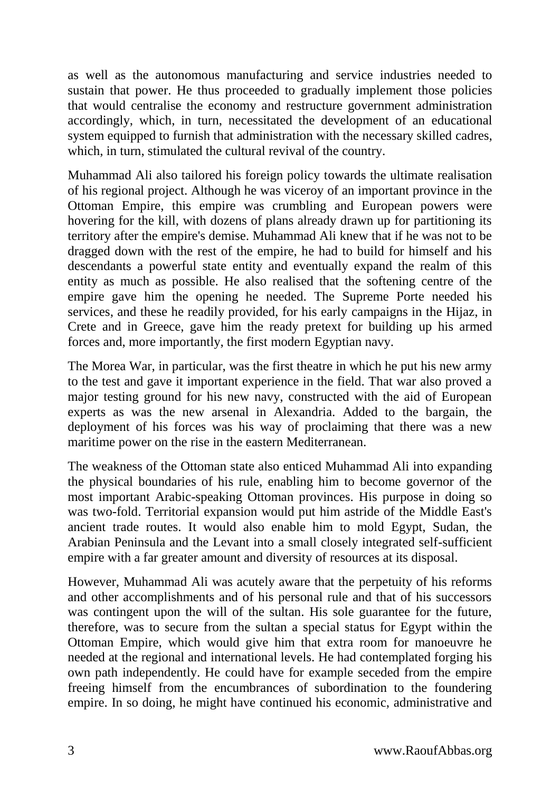as well as the autonomous manufacturing and service industries needed to sustain that power. He thus proceeded to gradually implement those policies that would centralise the economy and restructure government administration accordingly, which, in turn, necessitated the development of an educational system equipped to furnish that administration with the necessary skilled cadres, which, in turn, stimulated the cultural revival of the country.

Muhammad Ali also tailored his foreign policy towards the ultimate realisation of his regional project. Although he was viceroy of an important province in the Ottoman Empire, this empire was crumbling and European powers were hovering for the kill, with dozens of plans already drawn up for partitioning its territory after the empire's demise. Muhammad Ali knew that if he was not to be dragged down with the rest of the empire, he had to build for himself and his descendants a powerful state entity and eventually expand the realm of this entity as much as possible. He also realised that the softening centre of the empire gave him the opening he needed. The Supreme Porte needed his services, and these he readily provided, for his early campaigns in the Hijaz, in Crete and in Greece, gave him the ready pretext for building up his armed forces and, more importantly, the first modern Egyptian navy.

The Morea War, in particular, was the first theatre in which he put his new army to the test and gave it important experience in the field. That war also proved a major testing ground for his new navy, constructed with the aid of European experts as was the new arsenal in Alexandria. Added to the bargain, the deployment of his forces was his way of proclaiming that there was a new maritime power on the rise in the eastern Mediterranean.

The weakness of the Ottoman state also enticed Muhammad Ali into expanding the physical boundaries of his rule, enabling him to become governor of the most important Arabic-speaking Ottoman provinces. His purpose in doing so was two-fold. Territorial expansion would put him astride of the Middle East's ancient trade routes. It would also enable him to mold Egypt, Sudan, the Arabian Peninsula and the Levant into a small closely integrated self-sufficient empire with a far greater amount and diversity of resources at its disposal.

However, Muhammad Ali was acutely aware that the perpetuity of his reforms and other accomplishments and of his personal rule and that of his successors was contingent upon the will of the sultan. His sole guarantee for the future, therefore, was to secure from the sultan a special status for Egypt within the Ottoman Empire, which would give him that extra room for manoeuvre he needed at the regional and international levels. He had contemplated forging his own path independently. He could have for example seceded from the empire freeing himself from the encumbrances of subordination to the foundering empire. In so doing, he might have continued his economic, administrative and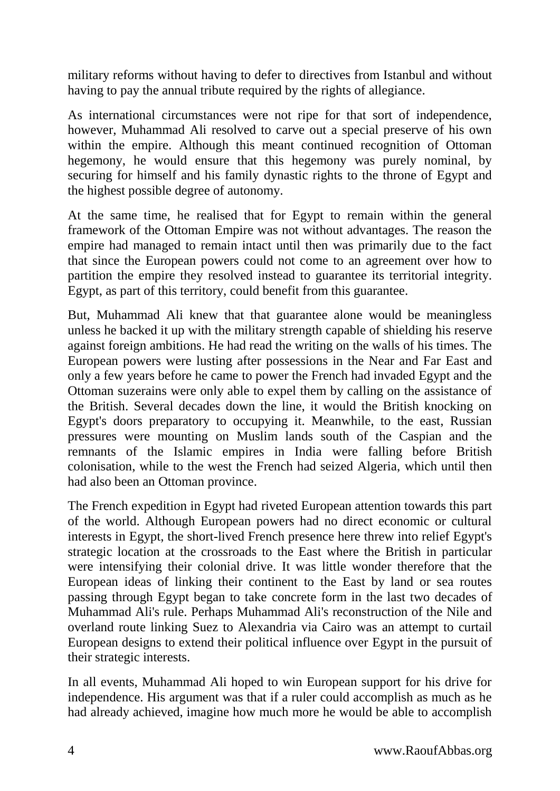military reforms without having to defer to directives from Istanbul and without having to pay the annual tribute required by the rights of allegiance.

As international circumstances were not ripe for that sort of independence, however, Muhammad Ali resolved to carve out a special preserve of his own within the empire. Although this meant continued recognition of Ottoman hegemony, he would ensure that this hegemony was purely nominal, by securing for himself and his family dynastic rights to the throne of Egypt and the highest possible degree of autonomy.

At the same time, he realised that for Egypt to remain within the general framework of the Ottoman Empire was not without advantages. The reason the empire had managed to remain intact until then was primarily due to the fact that since the European powers could not come to an agreement over how to partition the empire they resolved instead to guarantee its territorial integrity. Egypt, as part of this territory, could benefit from this guarantee.

But, Muhammad Ali knew that that guarantee alone would be meaningless unless he backed it up with the military strength capable of shielding his reserve against foreign ambitions. He had read the writing on the walls of his times. The European powers were lusting after possessions in the Near and Far East and only a few years before he came to power the French had invaded Egypt and the Ottoman suzerains were only able to expel them by calling on the assistance of the British. Several decades down the line, it would the British knocking on Egypt's doors preparatory to occupying it. Meanwhile, to the east, Russian pressures were mounting on Muslim lands south of the Caspian and the remnants of the Islamic empires in India were falling before British colonisation, while to the west the French had seized Algeria, which until then had also been an Ottoman province.

The French expedition in Egypt had riveted European attention towards this part of the world. Although European powers had no direct economic or cultural interests in Egypt, the short-lived French presence here threw into relief Egypt's strategic location at the crossroads to the East where the British in particular were intensifying their colonial drive. It was little wonder therefore that the European ideas of linking their continent to the East by land or sea routes passing through Egypt began to take concrete form in the last two decades of Muhammad Ali's rule. Perhaps Muhammad Ali's reconstruction of the Nile and overland route linking Suez to Alexandria via Cairo was an attempt to curtail European designs to extend their political influence over Egypt in the pursuit of their strategic interests.

In all events, Muhammad Ali hoped to win European support for his drive for independence. His argument was that if a ruler could accomplish as much as he had already achieved, imagine how much more he would be able to accomplish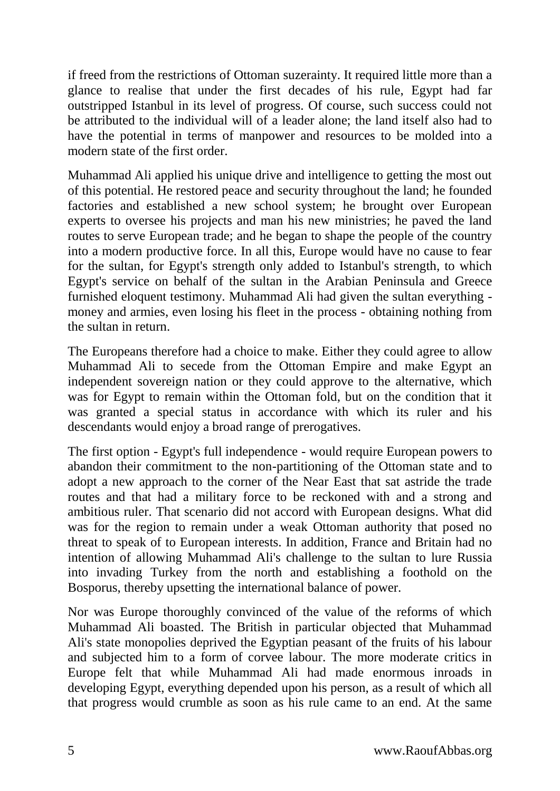if freed from the restrictions of Ottoman suzerainty. It required little more than a glance to realise that under the first decades of his rule, Egypt had far outstripped Istanbul in its level of progress. Of course, such success could not be attributed to the individual will of a leader alone; the land itself also had to have the potential in terms of manpower and resources to be molded into a modern state of the first order.

Muhammad Ali applied his unique drive and intelligence to getting the most out of this potential. He restored peace and security throughout the land; he founded factories and established a new school system; he brought over European experts to oversee his projects and man his new ministries; he paved the land routes to serve European trade; and he began to shape the people of the country into a modern productive force. In all this, Europe would have no cause to fear for the sultan, for Egypt's strength only added to Istanbul's strength, to which Egypt's service on behalf of the sultan in the Arabian Peninsula and Greece furnished eloquent testimony. Muhammad Ali had given the sultan everything money and armies, even losing his fleet in the process - obtaining nothing from the sultan in return.

The Europeans therefore had a choice to make. Either they could agree to allow Muhammad Ali to secede from the Ottoman Empire and make Egypt an independent sovereign nation or they could approve to the alternative, which was for Egypt to remain within the Ottoman fold, but on the condition that it was granted a special status in accordance with which its ruler and his descendants would enjoy a broad range of prerogatives.

The first option - Egypt's full independence - would require European powers to abandon their commitment to the non-partitioning of the Ottoman state and to adopt a new approach to the corner of the Near East that sat astride the trade routes and that had a military force to be reckoned with and a strong and ambitious ruler. That scenario did not accord with European designs. What did was for the region to remain under a weak Ottoman authority that posed no threat to speak of to European interests. In addition, France and Britain had no intention of allowing Muhammad Ali's challenge to the sultan to lure Russia into invading Turkey from the north and establishing a foothold on the Bosporus, thereby upsetting the international balance of power.

Nor was Europe thoroughly convinced of the value of the reforms of which Muhammad Ali boasted. The British in particular objected that Muhammad Ali's state monopolies deprived the Egyptian peasant of the fruits of his labour and subjected him to a form of corvee labour. The more moderate critics in Europe felt that while Muhammad Ali had made enormous inroads in developing Egypt, everything depended upon his person, as a result of which all that progress would crumble as soon as his rule came to an end. At the same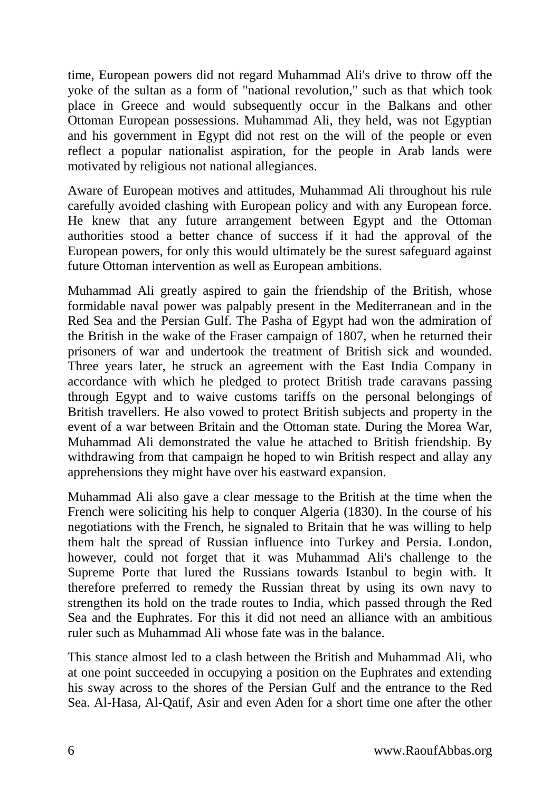time, European powers did not regard Muhammad Ali's drive to throw off the yoke of the sultan as a form of "national revolution," such as that which took place in Greece and would subsequently occur in the Balkans and other Ottoman European possessions. Muhammad Ali, they held, was not Egyptian and his government in Egypt did not rest on the will of the people or even reflect a popular nationalist aspiration, for the people in Arab lands were motivated by religious not national allegiances.

Aware of European motives and attitudes, Muhammad Ali throughout his rule carefully avoided clashing with European policy and with any European force. He knew that any future arrangement between Egypt and the Ottoman authorities stood a better chance of success if it had the approval of the European powers, for only this would ultimately be the surest safeguard against future Ottoman intervention as well as European ambitions.

Muhammad Ali greatly aspired to gain the friendship of the British, whose formidable naval power was palpably present in the Mediterranean and in the Red Sea and the Persian Gulf. The Pasha of Egypt had won the admiration of the British in the wake of the Fraser campaign of 1807, when he returned their prisoners of war and undertook the treatment of British sick and wounded. Three years later, he struck an agreement with the East India Company in accordance with which he pledged to protect British trade caravans passing through Egypt and to waive customs tariffs on the personal belongings of British travellers. He also vowed to protect British subjects and property in the event of a war between Britain and the Ottoman state. During the Morea War, Muhammad Ali demonstrated the value he attached to British friendship. By withdrawing from that campaign he hoped to win British respect and allay any apprehensions they might have over his eastward expansion.

Muhammad Ali also gave a clear message to the British at the time when the French were soliciting his help to conquer Algeria (1830). In the course of his negotiations with the French, he signaled to Britain that he was willing to help them halt the spread of Russian influence into Turkey and Persia. London, however, could not forget that it was Muhammad Ali's challenge to the Supreme Porte that lured the Russians towards Istanbul to begin with. It therefore preferred to remedy the Russian threat by using its own navy to strengthen its hold on the trade routes to India, which passed through the Red Sea and the Euphrates. For this it did not need an alliance with an ambitious ruler such as Muhammad Ali whose fate was in the balance.

This stance almost led to a clash between the British and Muhammad Ali, who at one point succeeded in occupying a position on the Euphrates and extending his sway across to the shores of the Persian Gulf and the entrance to the Red Sea. Al-Hasa, Al-Qatif, Asir and even Aden for a short time one after the other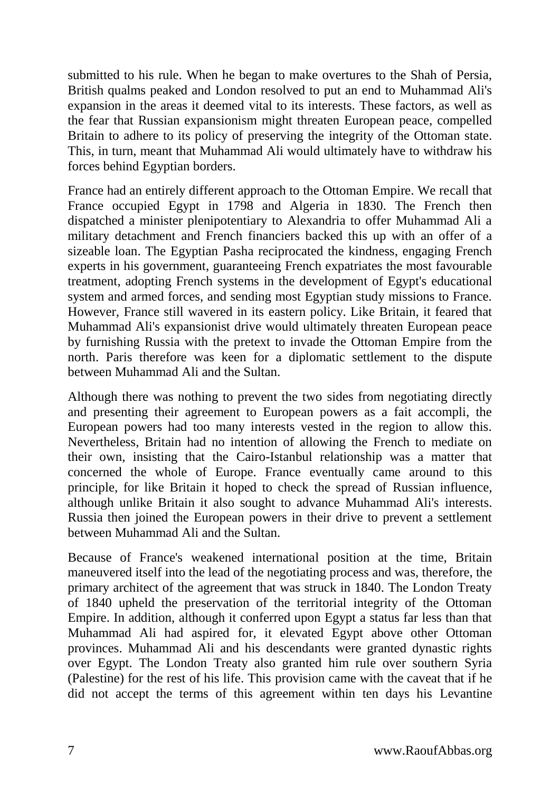submitted to his rule. When he began to make overtures to the Shah of Persia, British qualms peaked and London resolved to put an end to Muhammad Ali's expansion in the areas it deemed vital to its interests. These factors, as well as the fear that Russian expansionism might threaten European peace, compelled Britain to adhere to its policy of preserving the integrity of the Ottoman state. This, in turn, meant that Muhammad Ali would ultimately have to withdraw his forces behind Egyptian borders.

France had an entirely different approach to the Ottoman Empire. We recall that France occupied Egypt in 1798 and Algeria in 1830. The French then dispatched a minister plenipotentiary to Alexandria to offer Muhammad Ali a military detachment and French financiers backed this up with an offer of a sizeable loan. The Egyptian Pasha reciprocated the kindness, engaging French experts in his government, guaranteeing French expatriates the most favourable treatment, adopting French systems in the development of Egypt's educational system and armed forces, and sending most Egyptian study missions to France. However, France still wavered in its eastern policy. Like Britain, it feared that Muhammad Ali's expansionist drive would ultimately threaten European peace by furnishing Russia with the pretext to invade the Ottoman Empire from the north. Paris therefore was keen for a diplomatic settlement to the dispute between Muhammad Ali and the Sultan.

Although there was nothing to prevent the two sides from negotiating directly and presenting their agreement to European powers as a fait accompli, the European powers had too many interests vested in the region to allow this. Nevertheless, Britain had no intention of allowing the French to mediate on their own, insisting that the Cairo-Istanbul relationship was a matter that concerned the whole of Europe. France eventually came around to this principle, for like Britain it hoped to check the spread of Russian influence, although unlike Britain it also sought to advance Muhammad Ali's interests. Russia then joined the European powers in their drive to prevent a settlement between Muhammad Ali and the Sultan.

Because of France's weakened international position at the time, Britain maneuvered itself into the lead of the negotiating process and was, therefore, the primary architect of the agreement that was struck in 1840. The London Treaty of 1840 upheld the preservation of the territorial integrity of the Ottoman Empire. In addition, although it conferred upon Egypt a status far less than that Muhammad Ali had aspired for, it elevated Egypt above other Ottoman provinces. Muhammad Ali and his descendants were granted dynastic rights over Egypt. The London Treaty also granted him rule over southern Syria (Palestine) for the rest of his life. This provision came with the caveat that if he did not accept the terms of this agreement within ten days his Levantine